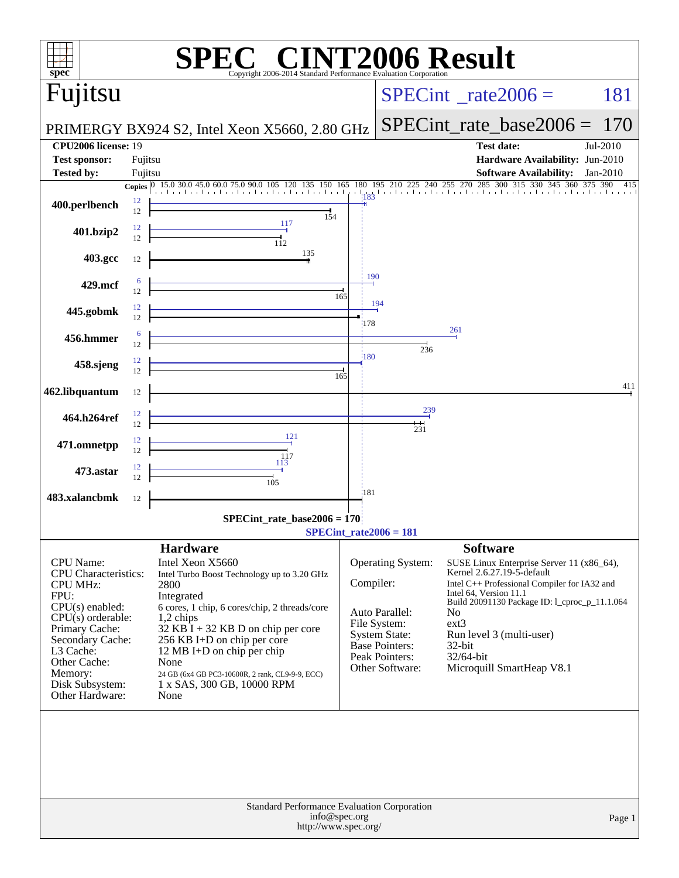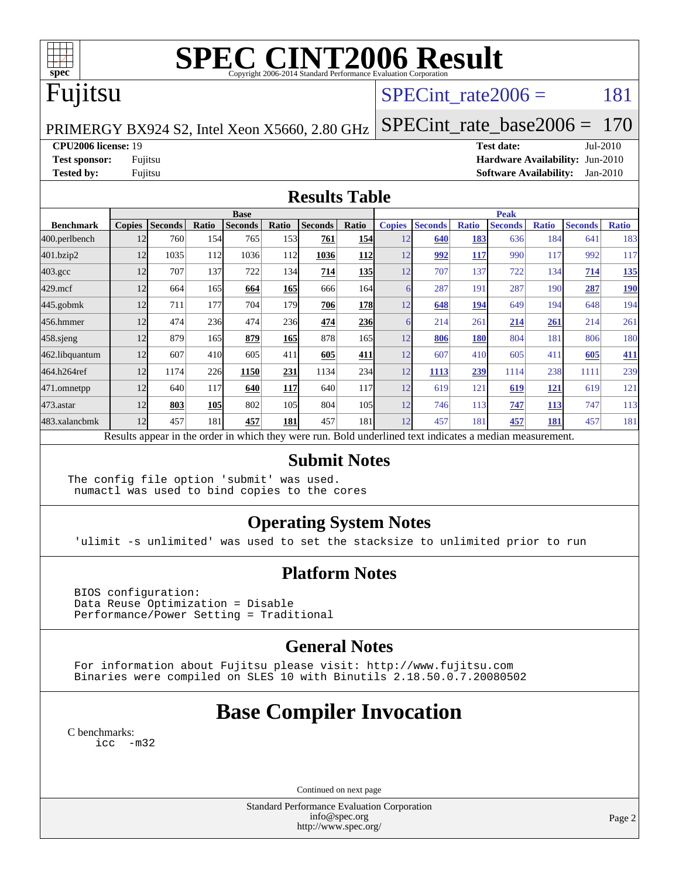

# **[SPEC CINT2006 Result](http://www.spec.org/auto/cpu2006/Docs/result-fields.html#SPECCINT2006Result)**

# Fujitsu

### SPECint rate $2006 = 181$

PRIMERGY BX924 S2, Intel Xeon X5660, 2.80 GHz

[SPECint\\_rate\\_base2006 =](http://www.spec.org/auto/cpu2006/Docs/result-fields.html#SPECintratebase2006) 170

#### **[CPU2006 license:](http://www.spec.org/auto/cpu2006/Docs/result-fields.html#CPU2006license)** 19 **[Test date:](http://www.spec.org/auto/cpu2006/Docs/result-fields.html#Testdate)** Jul-2010

**[Test sponsor:](http://www.spec.org/auto/cpu2006/Docs/result-fields.html#Testsponsor)** Fujitsu **[Hardware Availability:](http://www.spec.org/auto/cpu2006/Docs/result-fields.html#HardwareAvailability)** Jun-2010 **[Tested by:](http://www.spec.org/auto/cpu2006/Docs/result-fields.html#Testedby)** Fujitsu **[Software Availability:](http://www.spec.org/auto/cpu2006/Docs/result-fields.html#SoftwareAvailability)** Jan-2010

#### **[Results Table](http://www.spec.org/auto/cpu2006/Docs/result-fields.html#ResultsTable)**

|                    | <b>Base</b>                                                                                              |                |       |                |            |                |       |               | <b>Peak</b>    |              |                |              |                |              |  |
|--------------------|----------------------------------------------------------------------------------------------------------|----------------|-------|----------------|------------|----------------|-------|---------------|----------------|--------------|----------------|--------------|----------------|--------------|--|
| <b>Benchmark</b>   | <b>Copies</b>                                                                                            | <b>Seconds</b> | Ratio | <b>Seconds</b> | Ratio      | <b>Seconds</b> | Ratio | <b>Copies</b> | <b>Seconds</b> | <b>Ratio</b> | <b>Seconds</b> | <b>Ratio</b> | <b>Seconds</b> | <b>Ratio</b> |  |
| 400.perlbench      | 12                                                                                                       | 760            | 154   | 765            | 1531       | 761            | 154   | 12            | 640            | 183          | 636            | 184          | 641            | 183          |  |
| 401.bzip2          | 12                                                                                                       | 1035           | 112   | 1036           | 112        | 1036           | 112   | 12            | 992            | 117          | 990            | 117          | 992            | 117          |  |
| $403.\mathrm{gcc}$ | 12                                                                                                       | 707            | 137   | 722            | 134        | 714            | 135   | 12            | 707            | 137          | 722            | 134          | 714            | 135          |  |
| $429$ mcf          | 12                                                                                                       | 664            | 165   | 664            | <b>165</b> | 666            | 164   |               | 287            | 191          | 287            | 190          | 287            | <b>190</b>   |  |
| $445$ .gobmk       | 12                                                                                                       | 711            | 177   | 704            | 179        | 706            | 178   | 12            | 648            | 194          | 649            | 194          | 648            | 194          |  |
| 456.hmmer          | 12                                                                                                       | 474            | 236   | 474            | 236        | 474            | 236   |               | 214            | 261          | 214            | <u>261</u>   | 214            | 261          |  |
| $458$ .sjeng       | 12                                                                                                       | 879            | 165   | 879            | <b>165</b> | 878            | 165   | 12            | 806            | 180          | 804            | 181          | 806            | 180          |  |
| 462.libquantum     | 12                                                                                                       | 607            | 410   | 605            | 411        | 605            | 411   | 12            | 607            | 410          | 605            | 411          | 605            | 411          |  |
| 464.h264ref        | 12                                                                                                       | 1174           | 226   | 1150           | 231        | 1134           | 234   | 12            | 1113           | 239          | 1114           | 238          | 1111           | 239          |  |
| 471.omnetpp        | 12                                                                                                       | 640            | 117   | 640            | <b>117</b> | 640            | 117   | 12            | 619            | 121          | 619            | <u> 121</u>  | 619            | 121          |  |
| $473$ . astar      | 12                                                                                                       | 803            | 105   | 802            | 105        | 804            | 105   | 12            | 746            | 113          | 747            | <b>113</b>   | 747            | 113          |  |
| 483.xalancbmk      | 12                                                                                                       | 457            | 181   | 457            | 181        | 457            | 181   | 12            | 457            | 181          | 457            | 181          | 457            | 181          |  |
|                    | Results appear in the order in which they were run. Bold underlined text indicates a median measurement. |                |       |                |            |                |       |               |                |              |                |              |                |              |  |

### **[Submit Notes](http://www.spec.org/auto/cpu2006/Docs/result-fields.html#SubmitNotes)**

The config file option 'submit' was used. numactl was used to bind copies to the cores

### **[Operating System Notes](http://www.spec.org/auto/cpu2006/Docs/result-fields.html#OperatingSystemNotes)**

'ulimit -s unlimited' was used to set the stacksize to unlimited prior to run

### **[Platform Notes](http://www.spec.org/auto/cpu2006/Docs/result-fields.html#PlatformNotes)**

 BIOS configuration: Data Reuse Optimization = Disable Performance/Power Setting = Traditional

### **[General Notes](http://www.spec.org/auto/cpu2006/Docs/result-fields.html#GeneralNotes)**

 For information about Fujitsu please visit: <http://www.fujitsu.com> Binaries were compiled on SLES 10 with Binutils 2.18.50.0.7.20080502

### **[Base Compiler Invocation](http://www.spec.org/auto/cpu2006/Docs/result-fields.html#BaseCompilerInvocation)**

[C benchmarks](http://www.spec.org/auto/cpu2006/Docs/result-fields.html#Cbenchmarks): [icc -m32](http://www.spec.org/cpu2006/results/res2010q3/cpu2006-20100813-12898.flags.html#user_CCbase_intel_icc_32bit_5ff4a39e364c98233615fdd38438c6f2)

Continued on next page

Standard Performance Evaluation Corporation [info@spec.org](mailto:info@spec.org) <http://www.spec.org/>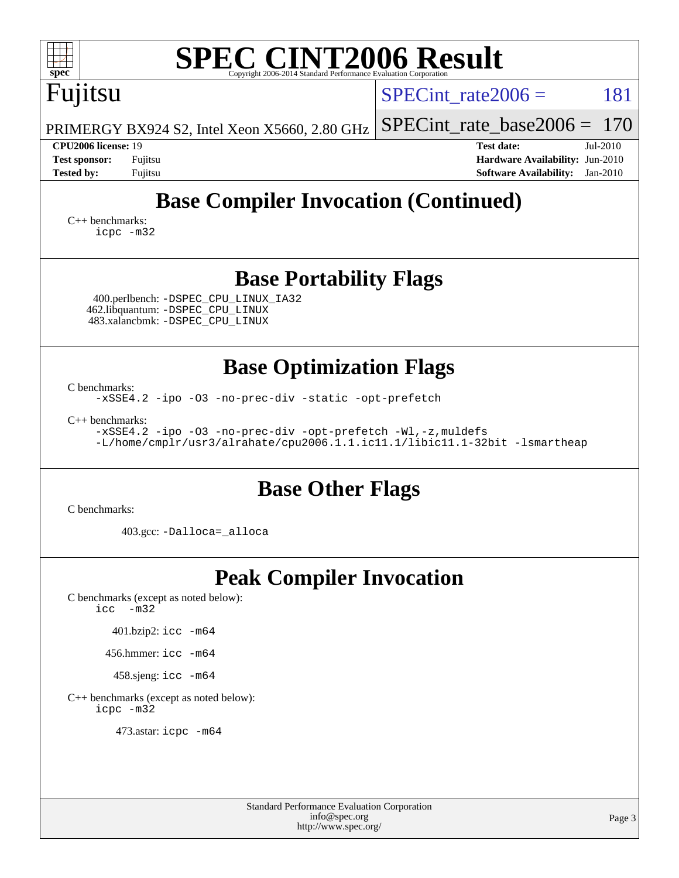| <b>SPEC CINT2006 Result</b>                                                                                                                                                                                                                                              |                                                                                                                 |  |  |  |  |  |  |
|--------------------------------------------------------------------------------------------------------------------------------------------------------------------------------------------------------------------------------------------------------------------------|-----------------------------------------------------------------------------------------------------------------|--|--|--|--|--|--|
| ${\bf spec}^*$<br>Copyright 2006-2014 Standard Performance Evaluation Corporation<br>Fujitsu                                                                                                                                                                             | 181<br>SPECint rate $2006 =$                                                                                    |  |  |  |  |  |  |
| PRIMERGY BX924 S2, Intel Xeon X5660, 2.80 GHz                                                                                                                                                                                                                            | 170<br>$SPECint_rate\_base2006 =$                                                                               |  |  |  |  |  |  |
| <b>CPU2006 license: 19</b><br><b>Test sponsor:</b><br>Fujitsu<br><b>Tested by:</b><br>Fujitsu                                                                                                                                                                            | <b>Test date:</b><br>Jul-2010<br>Hardware Availability: Jun-2010<br><b>Software Availability:</b><br>$Jan-2010$ |  |  |  |  |  |  |
| <b>Base Compiler Invocation (Continued)</b><br>$C_{++}$ benchmarks:<br>icpc -m32                                                                                                                                                                                         |                                                                                                                 |  |  |  |  |  |  |
| <b>Base Portability Flags</b><br>400.perlbench: -DSPEC_CPU_LINUX_IA32<br>462.libquantum: -DSPEC_CPU_LINUX<br>483.xalancbmk: - DSPEC CPU LINUX                                                                                                                            |                                                                                                                 |  |  |  |  |  |  |
| <b>Base Optimization Flags</b><br>C benchmarks:<br>-xSSE4.2 -ipo -03 -no-prec-div -static -opt-prefetch<br>C++ benchmarks:<br>-xSSE4.2 -ipo -03 -no-prec-div -opt-prefetch -Wl,-z, muldefs<br>-L/home/cmplr/usr3/alrahate/cpu2006.1.1.ic11.1/libic11.1-32bit -lsmartheap |                                                                                                                 |  |  |  |  |  |  |
| <b>Base Other Flags</b><br>C benchmarks:                                                                                                                                                                                                                                 |                                                                                                                 |  |  |  |  |  |  |
| 403.gcc: -Dalloca=_alloca                                                                                                                                                                                                                                                |                                                                                                                 |  |  |  |  |  |  |
| <b>Peak Compiler Invocation</b><br>C benchmarks (except as noted below):<br>$-m32$<br>icc<br>401.bzip2: icc -m64<br>456.hmmer: $\text{icc}$ -m64<br>458.sjeng: icc -m64<br>C++ benchmarks (except as noted below):<br>icpc -m32<br>473.astar: icpc -m64                  |                                                                                                                 |  |  |  |  |  |  |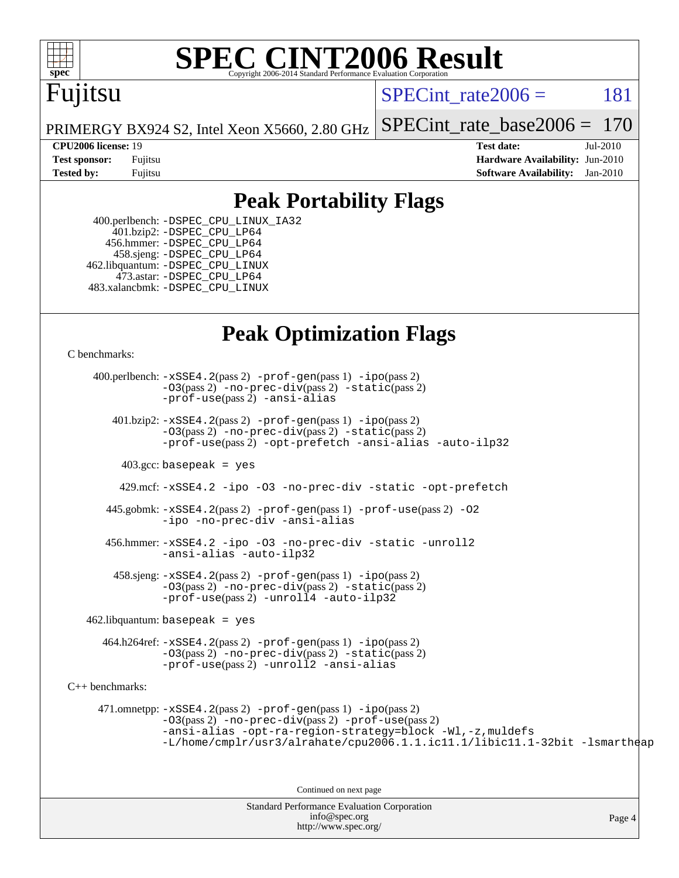

# **[SPEC CINT2006 Result](http://www.spec.org/auto/cpu2006/Docs/result-fields.html#SPECCINT2006Result)**

# Fujitsu

SPECint rate $2006 = 181$ 

PRIMERGY BX924 S2, Intel Xeon X5660, 2.80 GHz [SPECint\\_rate\\_base2006 =](http://www.spec.org/auto/cpu2006/Docs/result-fields.html#SPECintratebase2006) 170

**[CPU2006 license:](http://www.spec.org/auto/cpu2006/Docs/result-fields.html#CPU2006license)** 19 **[Test date:](http://www.spec.org/auto/cpu2006/Docs/result-fields.html#Testdate)** Jul-2010 **[Test sponsor:](http://www.spec.org/auto/cpu2006/Docs/result-fields.html#Testsponsor)** Fujitsu **[Hardware Availability:](http://www.spec.org/auto/cpu2006/Docs/result-fields.html#HardwareAvailability)** Jun-2010 **[Tested by:](http://www.spec.org/auto/cpu2006/Docs/result-fields.html#Testedby)** Fujitsu **[Software Availability:](http://www.spec.org/auto/cpu2006/Docs/result-fields.html#SoftwareAvailability)** Jan-2010

### **[Peak Portability Flags](http://www.spec.org/auto/cpu2006/Docs/result-fields.html#PeakPortabilityFlags)**

 400.perlbench: [-DSPEC\\_CPU\\_LINUX\\_IA32](http://www.spec.org/cpu2006/results/res2010q3/cpu2006-20100813-12898.flags.html#b400.perlbench_peakCPORTABILITY_DSPEC_CPU_LINUX_IA32) 401.bzip2: [-DSPEC\\_CPU\\_LP64](http://www.spec.org/cpu2006/results/res2010q3/cpu2006-20100813-12898.flags.html#suite_peakCPORTABILITY401_bzip2_DSPEC_CPU_LP64) 456.hmmer: [-DSPEC\\_CPU\\_LP64](http://www.spec.org/cpu2006/results/res2010q3/cpu2006-20100813-12898.flags.html#suite_peakCPORTABILITY456_hmmer_DSPEC_CPU_LP64) 458.sjeng: [-DSPEC\\_CPU\\_LP64](http://www.spec.org/cpu2006/results/res2010q3/cpu2006-20100813-12898.flags.html#suite_peakCPORTABILITY458_sjeng_DSPEC_CPU_LP64) 462.libquantum: [-DSPEC\\_CPU\\_LINUX](http://www.spec.org/cpu2006/results/res2010q3/cpu2006-20100813-12898.flags.html#b462.libquantum_peakCPORTABILITY_DSPEC_CPU_LINUX) 473.astar: [-DSPEC\\_CPU\\_LP64](http://www.spec.org/cpu2006/results/res2010q3/cpu2006-20100813-12898.flags.html#suite_peakCXXPORTABILITY473_astar_DSPEC_CPU_LP64) 483.xalancbmk: [-DSPEC\\_CPU\\_LINUX](http://www.spec.org/cpu2006/results/res2010q3/cpu2006-20100813-12898.flags.html#b483.xalancbmk_peakCXXPORTABILITY_DSPEC_CPU_LINUX)

### **[Peak Optimization Flags](http://www.spec.org/auto/cpu2006/Docs/result-fields.html#PeakOptimizationFlags)**

[C benchmarks](http://www.spec.org/auto/cpu2006/Docs/result-fields.html#Cbenchmarks):

Standard Performance Evaluation Corporation 400.perlbench: [-xSSE4.2](http://www.spec.org/cpu2006/results/res2010q3/cpu2006-20100813-12898.flags.html#user_peakPASS2_CFLAGSPASS2_LDCFLAGS400_perlbench_f-xSSE42_f91528193cf0b216347adb8b939d4107)(pass 2) [-prof-gen](http://www.spec.org/cpu2006/results/res2010q3/cpu2006-20100813-12898.flags.html#user_peakPASS1_CFLAGSPASS1_LDCFLAGS400_perlbench_prof_gen_e43856698f6ca7b7e442dfd80e94a8fc)(pass 1) [-ipo](http://www.spec.org/cpu2006/results/res2010q3/cpu2006-20100813-12898.flags.html#user_peakPASS2_CFLAGSPASS2_LDCFLAGS400_perlbench_f-ipo)(pass 2) [-O3](http://www.spec.org/cpu2006/results/res2010q3/cpu2006-20100813-12898.flags.html#user_peakPASS2_CFLAGSPASS2_LDCFLAGS400_perlbench_f-O3)(pass 2) [-no-prec-div](http://www.spec.org/cpu2006/results/res2010q3/cpu2006-20100813-12898.flags.html#user_peakPASS2_CFLAGSPASS2_LDCFLAGS400_perlbench_f-no-prec-div)(pass 2) [-static](http://www.spec.org/cpu2006/results/res2010q3/cpu2006-20100813-12898.flags.html#user_peakPASS2_CFLAGSPASS2_LDCFLAGS400_perlbench_f-static)(pass 2) [-prof-use](http://www.spec.org/cpu2006/results/res2010q3/cpu2006-20100813-12898.flags.html#user_peakPASS2_CFLAGSPASS2_LDCFLAGS400_perlbench_prof_use_bccf7792157ff70d64e32fe3e1250b55)(pass 2) [-ansi-alias](http://www.spec.org/cpu2006/results/res2010q3/cpu2006-20100813-12898.flags.html#user_peakCOPTIMIZE400_perlbench_f-ansi-alias) 401.bzip2: [-xSSE4.2](http://www.spec.org/cpu2006/results/res2010q3/cpu2006-20100813-12898.flags.html#user_peakPASS2_CFLAGSPASS2_LDCFLAGS401_bzip2_f-xSSE42_f91528193cf0b216347adb8b939d4107)(pass 2) [-prof-gen](http://www.spec.org/cpu2006/results/res2010q3/cpu2006-20100813-12898.flags.html#user_peakPASS1_CFLAGSPASS1_LDCFLAGS401_bzip2_prof_gen_e43856698f6ca7b7e442dfd80e94a8fc)(pass 1) [-ipo](http://www.spec.org/cpu2006/results/res2010q3/cpu2006-20100813-12898.flags.html#user_peakPASS2_CFLAGSPASS2_LDCFLAGS401_bzip2_f-ipo)(pass 2) [-O3](http://www.spec.org/cpu2006/results/res2010q3/cpu2006-20100813-12898.flags.html#user_peakPASS2_CFLAGSPASS2_LDCFLAGS401_bzip2_f-O3)(pass 2) [-no-prec-div](http://www.spec.org/cpu2006/results/res2010q3/cpu2006-20100813-12898.flags.html#user_peakPASS2_CFLAGSPASS2_LDCFLAGS401_bzip2_f-no-prec-div)(pass 2) [-static](http://www.spec.org/cpu2006/results/res2010q3/cpu2006-20100813-12898.flags.html#user_peakPASS2_CFLAGSPASS2_LDCFLAGS401_bzip2_f-static)(pass 2) [-prof-use](http://www.spec.org/cpu2006/results/res2010q3/cpu2006-20100813-12898.flags.html#user_peakPASS2_CFLAGSPASS2_LDCFLAGS401_bzip2_prof_use_bccf7792157ff70d64e32fe3e1250b55)(pass 2) [-opt-prefetch](http://www.spec.org/cpu2006/results/res2010q3/cpu2006-20100813-12898.flags.html#user_peakCOPTIMIZE401_bzip2_f-opt-prefetch) [-ansi-alias](http://www.spec.org/cpu2006/results/res2010q3/cpu2006-20100813-12898.flags.html#user_peakCOPTIMIZE401_bzip2_f-ansi-alias) [-auto-ilp32](http://www.spec.org/cpu2006/results/res2010q3/cpu2006-20100813-12898.flags.html#user_peakCOPTIMIZE401_bzip2_f-auto-ilp32)  $403.\text{gcc: basepeak}$  = yes 429.mcf: [-xSSE4.2](http://www.spec.org/cpu2006/results/res2010q3/cpu2006-20100813-12898.flags.html#user_peakCOPTIMIZE429_mcf_f-xSSE42_f91528193cf0b216347adb8b939d4107) [-ipo](http://www.spec.org/cpu2006/results/res2010q3/cpu2006-20100813-12898.flags.html#user_peakCOPTIMIZE429_mcf_f-ipo) [-O3](http://www.spec.org/cpu2006/results/res2010q3/cpu2006-20100813-12898.flags.html#user_peakCOPTIMIZE429_mcf_f-O3) [-no-prec-div](http://www.spec.org/cpu2006/results/res2010q3/cpu2006-20100813-12898.flags.html#user_peakCOPTIMIZE429_mcf_f-no-prec-div) [-static](http://www.spec.org/cpu2006/results/res2010q3/cpu2006-20100813-12898.flags.html#user_peakCOPTIMIZE429_mcf_f-static) [-opt-prefetch](http://www.spec.org/cpu2006/results/res2010q3/cpu2006-20100813-12898.flags.html#user_peakCOPTIMIZE429_mcf_f-opt-prefetch) 445.gobmk: [-xSSE4.2](http://www.spec.org/cpu2006/results/res2010q3/cpu2006-20100813-12898.flags.html#user_peakPASS2_CFLAGSPASS2_LDCFLAGS445_gobmk_f-xSSE42_f91528193cf0b216347adb8b939d4107)(pass 2) [-prof-gen](http://www.spec.org/cpu2006/results/res2010q3/cpu2006-20100813-12898.flags.html#user_peakPASS1_CFLAGSPASS1_LDCFLAGS445_gobmk_prof_gen_e43856698f6ca7b7e442dfd80e94a8fc)(pass 1) [-prof-use](http://www.spec.org/cpu2006/results/res2010q3/cpu2006-20100813-12898.flags.html#user_peakPASS2_CFLAGSPASS2_LDCFLAGS445_gobmk_prof_use_bccf7792157ff70d64e32fe3e1250b55)(pass 2) [-O2](http://www.spec.org/cpu2006/results/res2010q3/cpu2006-20100813-12898.flags.html#user_peakCOPTIMIZE445_gobmk_f-O2) [-ipo](http://www.spec.org/cpu2006/results/res2010q3/cpu2006-20100813-12898.flags.html#user_peakCOPTIMIZE445_gobmk_f-ipo) [-no-prec-div](http://www.spec.org/cpu2006/results/res2010q3/cpu2006-20100813-12898.flags.html#user_peakCOPTIMIZE445_gobmk_f-no-prec-div) [-ansi-alias](http://www.spec.org/cpu2006/results/res2010q3/cpu2006-20100813-12898.flags.html#user_peakCOPTIMIZE445_gobmk_f-ansi-alias) 456.hmmer: [-xSSE4.2](http://www.spec.org/cpu2006/results/res2010q3/cpu2006-20100813-12898.flags.html#user_peakCOPTIMIZE456_hmmer_f-xSSE42_f91528193cf0b216347adb8b939d4107) [-ipo](http://www.spec.org/cpu2006/results/res2010q3/cpu2006-20100813-12898.flags.html#user_peakCOPTIMIZE456_hmmer_f-ipo) [-O3](http://www.spec.org/cpu2006/results/res2010q3/cpu2006-20100813-12898.flags.html#user_peakCOPTIMIZE456_hmmer_f-O3) [-no-prec-div](http://www.spec.org/cpu2006/results/res2010q3/cpu2006-20100813-12898.flags.html#user_peakCOPTIMIZE456_hmmer_f-no-prec-div) [-static](http://www.spec.org/cpu2006/results/res2010q3/cpu2006-20100813-12898.flags.html#user_peakCOPTIMIZE456_hmmer_f-static) [-unroll2](http://www.spec.org/cpu2006/results/res2010q3/cpu2006-20100813-12898.flags.html#user_peakCOPTIMIZE456_hmmer_f-unroll_784dae83bebfb236979b41d2422d7ec2) [-ansi-alias](http://www.spec.org/cpu2006/results/res2010q3/cpu2006-20100813-12898.flags.html#user_peakCOPTIMIZE456_hmmer_f-ansi-alias) [-auto-ilp32](http://www.spec.org/cpu2006/results/res2010q3/cpu2006-20100813-12898.flags.html#user_peakCOPTIMIZE456_hmmer_f-auto-ilp32)  $458 \text{.}$  sjeng:  $-xSSE4$ .  $2(\text{pass 2})$  -prof-qen(pass 1) [-ipo](http://www.spec.org/cpu2006/results/res2010q3/cpu2006-20100813-12898.flags.html#user_peakPASS2_CFLAGSPASS2_LDCFLAGS458_sjeng_f-ipo)(pass 2) [-O3](http://www.spec.org/cpu2006/results/res2010q3/cpu2006-20100813-12898.flags.html#user_peakPASS2_CFLAGSPASS2_LDCFLAGS458_sjeng_f-O3)(pass 2) [-no-prec-div](http://www.spec.org/cpu2006/results/res2010q3/cpu2006-20100813-12898.flags.html#user_peakPASS2_CFLAGSPASS2_LDCFLAGS458_sjeng_f-no-prec-div)(pass 2) [-static](http://www.spec.org/cpu2006/results/res2010q3/cpu2006-20100813-12898.flags.html#user_peakPASS2_CFLAGSPASS2_LDCFLAGS458_sjeng_f-static)(pass 2) [-prof-use](http://www.spec.org/cpu2006/results/res2010q3/cpu2006-20100813-12898.flags.html#user_peakPASS2_CFLAGSPASS2_LDCFLAGS458_sjeng_prof_use_bccf7792157ff70d64e32fe3e1250b55)(pass 2) [-unroll4](http://www.spec.org/cpu2006/results/res2010q3/cpu2006-20100813-12898.flags.html#user_peakCOPTIMIZE458_sjeng_f-unroll_4e5e4ed65b7fd20bdcd365bec371b81f) [-auto-ilp32](http://www.spec.org/cpu2006/results/res2010q3/cpu2006-20100813-12898.flags.html#user_peakCOPTIMIZE458_sjeng_f-auto-ilp32)  $462$ .libquantum: basepeak = yes 464.h264ref: [-xSSE4.2](http://www.spec.org/cpu2006/results/res2010q3/cpu2006-20100813-12898.flags.html#user_peakPASS2_CFLAGSPASS2_LDCFLAGS464_h264ref_f-xSSE42_f91528193cf0b216347adb8b939d4107)(pass 2) [-prof-gen](http://www.spec.org/cpu2006/results/res2010q3/cpu2006-20100813-12898.flags.html#user_peakPASS1_CFLAGSPASS1_LDCFLAGS464_h264ref_prof_gen_e43856698f6ca7b7e442dfd80e94a8fc)(pass 1) [-ipo](http://www.spec.org/cpu2006/results/res2010q3/cpu2006-20100813-12898.flags.html#user_peakPASS2_CFLAGSPASS2_LDCFLAGS464_h264ref_f-ipo)(pass 2) [-O3](http://www.spec.org/cpu2006/results/res2010q3/cpu2006-20100813-12898.flags.html#user_peakPASS2_CFLAGSPASS2_LDCFLAGS464_h264ref_f-O3)(pass 2) [-no-prec-div](http://www.spec.org/cpu2006/results/res2010q3/cpu2006-20100813-12898.flags.html#user_peakPASS2_CFLAGSPASS2_LDCFLAGS464_h264ref_f-no-prec-div)(pass 2) [-static](http://www.spec.org/cpu2006/results/res2010q3/cpu2006-20100813-12898.flags.html#user_peakPASS2_CFLAGSPASS2_LDCFLAGS464_h264ref_f-static)(pass 2) [-prof-use](http://www.spec.org/cpu2006/results/res2010q3/cpu2006-20100813-12898.flags.html#user_peakPASS2_CFLAGSPASS2_LDCFLAGS464_h264ref_prof_use_bccf7792157ff70d64e32fe3e1250b55)(pass 2) [-unroll2](http://www.spec.org/cpu2006/results/res2010q3/cpu2006-20100813-12898.flags.html#user_peakCOPTIMIZE464_h264ref_f-unroll_784dae83bebfb236979b41d2422d7ec2) [-ansi-alias](http://www.spec.org/cpu2006/results/res2010q3/cpu2006-20100813-12898.flags.html#user_peakCOPTIMIZE464_h264ref_f-ansi-alias) [C++ benchmarks:](http://www.spec.org/auto/cpu2006/Docs/result-fields.html#CXXbenchmarks) 471.omnetpp: [-xSSE4.2](http://www.spec.org/cpu2006/results/res2010q3/cpu2006-20100813-12898.flags.html#user_peakPASS2_CXXFLAGSPASS2_LDCXXFLAGS471_omnetpp_f-xSSE42_f91528193cf0b216347adb8b939d4107)(pass 2) [-prof-gen](http://www.spec.org/cpu2006/results/res2010q3/cpu2006-20100813-12898.flags.html#user_peakPASS1_CXXFLAGSPASS1_LDCXXFLAGS471_omnetpp_prof_gen_e43856698f6ca7b7e442dfd80e94a8fc)(pass 1) [-ipo](http://www.spec.org/cpu2006/results/res2010q3/cpu2006-20100813-12898.flags.html#user_peakPASS2_CXXFLAGSPASS2_LDCXXFLAGS471_omnetpp_f-ipo)(pass 2) [-O3](http://www.spec.org/cpu2006/results/res2010q3/cpu2006-20100813-12898.flags.html#user_peakPASS2_CXXFLAGSPASS2_LDCXXFLAGS471_omnetpp_f-O3)(pass 2) [-no-prec-div](http://www.spec.org/cpu2006/results/res2010q3/cpu2006-20100813-12898.flags.html#user_peakPASS2_CXXFLAGSPASS2_LDCXXFLAGS471_omnetpp_f-no-prec-div)(pass 2) [-prof-use](http://www.spec.org/cpu2006/results/res2010q3/cpu2006-20100813-12898.flags.html#user_peakPASS2_CXXFLAGSPASS2_LDCXXFLAGS471_omnetpp_prof_use_bccf7792157ff70d64e32fe3e1250b55)(pass 2) [-ansi-alias](http://www.spec.org/cpu2006/results/res2010q3/cpu2006-20100813-12898.flags.html#user_peakCXXOPTIMIZE471_omnetpp_f-ansi-alias) [-opt-ra-region-strategy=block](http://www.spec.org/cpu2006/results/res2010q3/cpu2006-20100813-12898.flags.html#user_peakCXXOPTIMIZE471_omnetpp_f-opt-ra-region-strategy-block_a0a37c372d03933b2a18d4af463c1f69) [-Wl,-z,muldefs](http://www.spec.org/cpu2006/results/res2010q3/cpu2006-20100813-12898.flags.html#user_peakEXTRA_LDFLAGS471_omnetpp_link_force_multiple1_74079c344b956b9658436fd1b6dd3a8a) [-L/home/cmplr/usr3/alrahate/cpu2006.1.1.ic11.1/libic11.1-32bit -lsmartheap](http://www.spec.org/cpu2006/results/res2010q3/cpu2006-20100813-12898.flags.html#user_peakEXTRA_LIBS471_omnetpp_SmartHeap_d86dffe4a79b79ef8890d5cce17030c3) Continued on next page

[info@spec.org](mailto:info@spec.org) <http://www.spec.org/>

Page 4